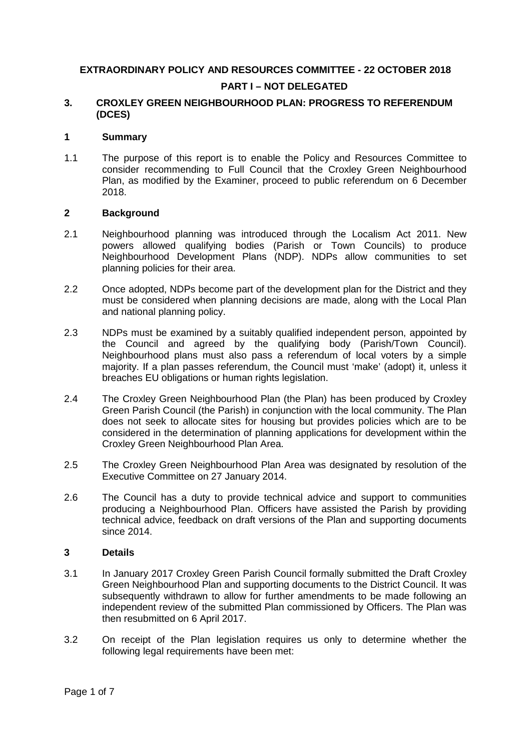# **EXTRAORDINARY POLICY AND RESOURCES COMMITTEE - 22 OCTOBER 2018 PART I – NOT DELEGATED**

#### **3. CROXLEY GREEN NEIGHBOURHOOD PLAN: PROGRESS TO REFERENDUM (DCES)**

#### **1 Summary**

1.1 The purpose of this report is to enable the Policy and Resources Committee to consider recommending to Full Council that the Croxley Green Neighbourhood Plan, as modified by the Examiner, proceed to public referendum on 6 December 2018.

#### **2 Background**

- 2.1 Neighbourhood planning was introduced through the Localism Act 2011. New powers allowed qualifying bodies (Parish or Town Councils) to produce Neighbourhood Development Plans (NDP). NDPs allow communities to set planning policies for their area.
- 2.2 Once adopted, NDPs become part of the development plan for the District and they must be considered when planning decisions are made, along with the Local Plan and national planning policy.
- 2.3 NDPs must be examined by a suitably qualified independent person, appointed by the Council and agreed by the qualifying body (Parish/Town Council). Neighbourhood plans must also pass a referendum of local voters by a simple majority. If a plan passes referendum, the Council must 'make' (adopt) it, unless it breaches EU obligations or human rights legislation.
- 2.4 The Croxley Green Neighbourhood Plan (the Plan) has been produced by Croxley Green Parish Council (the Parish) in conjunction with the local community. The Plan does not seek to allocate sites for housing but provides policies which are to be considered in the determination of planning applications for development within the Croxley Green Neighbourhood Plan Area.
- 2.5 The Croxley Green Neighbourhood Plan Area was designated by resolution of the Executive Committee on 27 January 2014.
- 2.6 The Council has a duty to provide technical advice and support to communities producing a Neighbourhood Plan. Officers have assisted the Parish by providing technical advice, feedback on draft versions of the Plan and supporting documents since 2014.

#### **3 Details**

- 3.1 In January 2017 Croxley Green Parish Council formally submitted the Draft Croxley Green Neighbourhood Plan and supporting documents to the District Council. It was subsequently withdrawn to allow for further amendments to be made following an independent review of the submitted Plan commissioned by Officers. The Plan was then resubmitted on 6 April 2017.
- 3.2 On receipt of the Plan legislation requires us only to determine whether the following legal requirements have been met: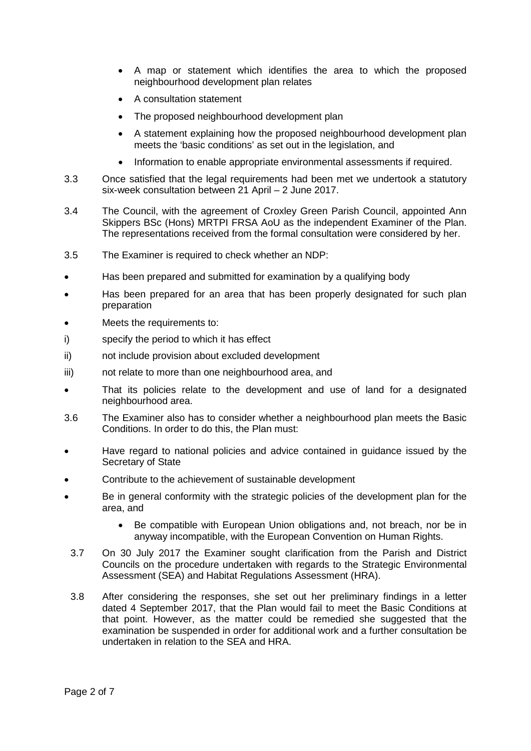- A map or statement which identifies the area to which the proposed neighbourhood development plan relates
- A consultation statement
- The proposed neighbourhood development plan
- A statement explaining how the proposed neighbourhood development plan meets the 'basic conditions' as set out in the legislation, and
- Information to enable appropriate environmental assessments if required.
- 3.3 Once satisfied that the legal requirements had been met we undertook a statutory six-week consultation between 21 April – 2 June 2017.
- 3.4 The Council, with the agreement of Croxley Green Parish Council, appointed Ann Skippers BSc (Hons) MRTPI FRSA AoU as the independent Examiner of the Plan. The representations received from the formal consultation were considered by her.
- 3.5 The Examiner is required to check whether an NDP:
- Has been prepared and submitted for examination by a qualifying body
- Has been prepared for an area that has been properly designated for such plan preparation
- Meets the requirements to:
- i) specify the period to which it has effect
- ii) not include provision about excluded development
- iii) not relate to more than one neighbourhood area, and
- That its policies relate to the development and use of land for a designated neighbourhood area.
- 3.6 The Examiner also has to consider whether a neighbourhood plan meets the Basic Conditions. In order to do this, the Plan must:
- Have regard to national policies and advice contained in guidance issued by the Secretary of State
- Contribute to the achievement of sustainable development
- Be in general conformity with the strategic policies of the development plan for the area, and
	- Be compatible with European Union obligations and, not breach, nor be in anyway incompatible, with the European Convention on Human Rights.
- 3.7 On 30 July 2017 the Examiner sought clarification from the Parish and District Councils on the procedure undertaken with regards to the Strategic Environmental Assessment (SEA) and Habitat Regulations Assessment (HRA).
- 3.8 After considering the responses, she set out her preliminary findings in a letter dated 4 September 2017, that the Plan would fail to meet the Basic Conditions at that point. However, as the matter could be remedied she suggested that the examination be suspended in order for additional work and a further consultation be undertaken in relation to the SEA and HRA.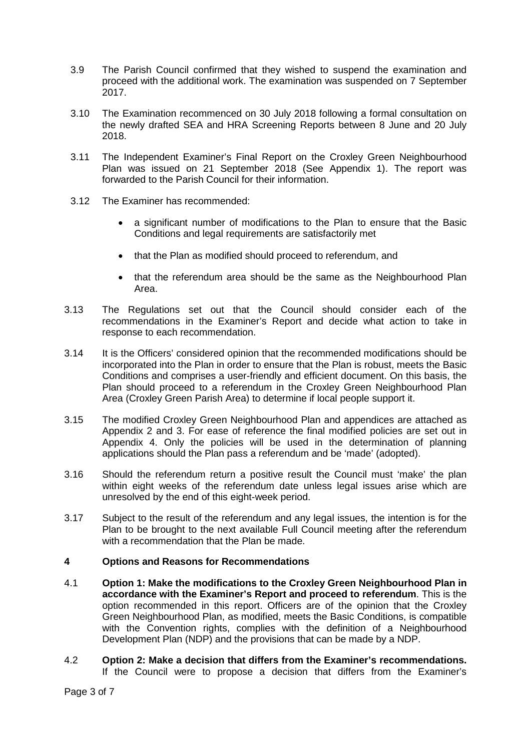- 3.9 The Parish Council confirmed that they wished to suspend the examination and proceed with the additional work. The examination was suspended on 7 September 2017.
- 3.10 The Examination recommenced on 30 July 2018 following a formal consultation on the newly drafted SEA and HRA Screening Reports between 8 June and 20 July 2018.
- 3.11 The Independent Examiner's Final Report on the Croxley Green Neighbourhood Plan was issued on 21 September 2018 (See Appendix 1). The report was forwarded to the Parish Council for their information.
- 3.12 The Examiner has recommended:
	- a significant number of modifications to the Plan to ensure that the Basic Conditions and legal requirements are satisfactorily met
	- that the Plan as modified should proceed to referendum, and
	- that the referendum area should be the same as the Neighbourhood Plan Area.
- 3.13 The Regulations set out that the Council should consider each of the recommendations in the Examiner's Report and decide what action to take in response to each recommendation.
- 3.14 It is the Officers' considered opinion that the recommended modifications should be incorporated into the Plan in order to ensure that the Plan is robust, meets the Basic Conditions and comprises a user-friendly and efficient document. On this basis, the Plan should proceed to a referendum in the Croxley Green Neighbourhood Plan Area (Croxley Green Parish Area) to determine if local people support it.
- 3.15 The modified Croxley Green Neighbourhood Plan and appendices are attached as Appendix 2 and 3. For ease of reference the final modified policies are set out in Appendix 4. Only the policies will be used in the determination of planning applications should the Plan pass a referendum and be 'made' (adopted).
- 3.16 Should the referendum return a positive result the Council must 'make' the plan within eight weeks of the referendum date unless legal issues arise which are unresolved by the end of this eight-week period.
- 3.17 Subject to the result of the referendum and any legal issues, the intention is for the Plan to be brought to the next available Full Council meeting after the referendum with a recommendation that the Plan be made.

### **4 Options and Reasons for Recommendations**

- 4.1 **Option 1: Make the modifications to the Croxley Green Neighbourhood Plan in accordance with the Examiner's Report and proceed to referendum**. This is the option recommended in this report. Officers are of the opinion that the Croxley Green Neighbourhood Plan, as modified, meets the Basic Conditions, is compatible with the Convention rights, complies with the definition of a Neighbourhood Development Plan (NDP) and the provisions that can be made by a NDP.
- 4.2 **Option 2: Make a decision that differs from the Examiner's recommendations.** If the Council were to propose a decision that differs from the Examiner's

Page 3 of 7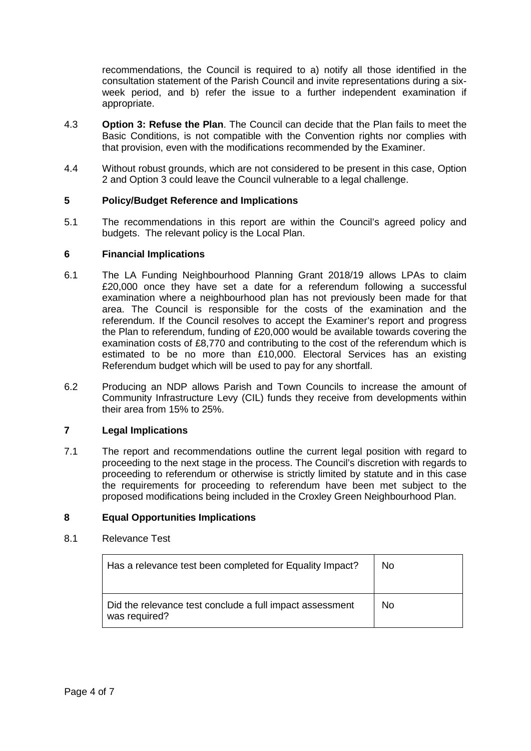recommendations, the Council is required to a) notify all those identified in the consultation statement of the Parish Council and invite representations during a sixweek period, and b) refer the issue to a further independent examination if appropriate.

- 4.3 **Option 3: Refuse the Plan**. The Council can decide that the Plan fails to meet the Basic Conditions, is not compatible with the Convention rights nor complies with that provision, even with the modifications recommended by the Examiner.
- 4.4 Without robust grounds, which are not considered to be present in this case, Option 2 and Option 3 could leave the Council vulnerable to a legal challenge.

## **5 Policy/Budget Reference and Implications**

5.1 The recommendations in this report are within the Council's agreed policy and budgets. The relevant policy is the Local Plan.

### **6 Financial Implications**

- 6.1 The LA Funding Neighbourhood Planning Grant 2018/19 allows LPAs to claim £20,000 once they have set a date for a referendum following a successful examination where a neighbourhood plan has not previously been made for that area. The Council is responsible for the costs of the examination and the referendum. If the Council resolves to accept the Examiner's report and progress the Plan to referendum, funding of £20,000 would be available towards covering the examination costs of £8,770 and contributing to the cost of the referendum which is estimated to be no more than £10,000. Electoral Services has an existing Referendum budget which will be used to pay for any shortfall.
- 6.2 Producing an NDP allows Parish and Town Councils to increase the amount of Community Infrastructure Levy (CIL) funds they receive from developments within their area from 15% to 25%.

### **7 Legal Implications**

7.1 The report and recommendations outline the current legal position with regard to proceeding to the next stage in the process. The Council's discretion with regards to proceeding to referendum or otherwise is strictly limited by statute and in this case the requirements for proceeding to referendum have been met subject to the proposed modifications being included in the Croxley Green Neighbourhood Plan.

### **8 Equal Opportunities Implications**

### 8.1 Relevance Test

| Has a relevance test been completed for Equality Impact?                  | N <sub>o</sub> |
|---------------------------------------------------------------------------|----------------|
| Did the relevance test conclude a full impact assessment<br>was required? | N <sub>o</sub> |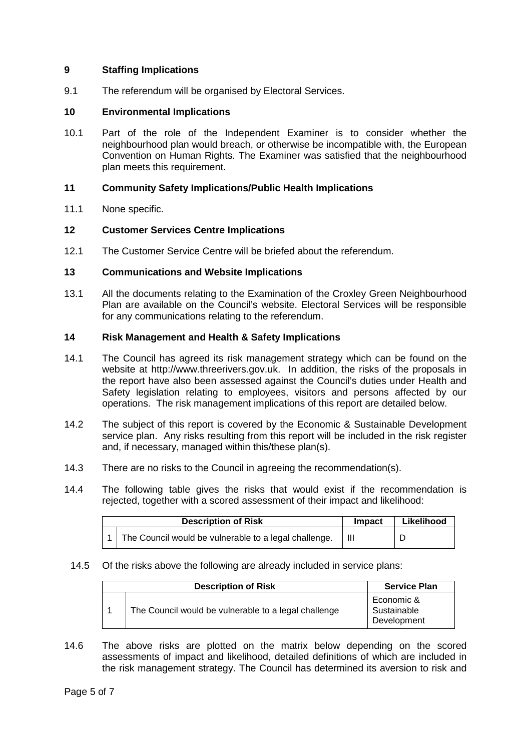### **9 Staffing Implications**

9.1 The referendum will be organised by Electoral Services.

### **10 Environmental Implications**

10.1 Part of the role of the Independent Examiner is to consider whether the neighbourhood plan would breach, or otherwise be incompatible with, the European Convention on Human Rights. The Examiner was satisfied that the neighbourhood plan meets this requirement.

#### **11 Community Safety Implications/Public Health Implications**

11.1 None specific.

### **12 Customer Services Centre Implications**

12.1 The Customer Service Centre will be briefed about the referendum.

### **13 Communications and Website Implications**

13.1 All the documents relating to the Examination of the Croxley Green Neighbourhood Plan are available on the Council's website. Electoral Services will be responsible for any communications relating to the referendum.

#### **14 Risk Management and Health & Safety Implications**

- 14.1 The Council has agreed its risk management strategy which can be found on the website at http://www.threerivers.gov.uk. In addition, the risks of the proposals in the report have also been assessed against the Council's duties under Health and Safety legislation relating to employees, visitors and persons affected by our operations. The risk management implications of this report are detailed below.
- 14.2 The subject of this report is covered by the Economic & Sustainable Development service plan. Any risks resulting from this report will be included in the risk register and, if necessary, managed within this/these plan(s).
- 14.3 There are no risks to the Council in agreeing the recommendation(s).
- 14.4 The following table gives the risks that would exist if the recommendation is rejected, together with a scored assessment of their impact and likelihood:

| <b>Description of Risk</b> |                                                       | <b>Impact</b> | Likelihood |
|----------------------------|-------------------------------------------------------|---------------|------------|
|                            | The Council would be vulnerable to a legal challenge. |               |            |

### 14.5 Of the risks above the following are already included in service plans:

| <b>Description of Risk</b>                           | <b>Service Plan</b>                      |
|------------------------------------------------------|------------------------------------------|
| The Council would be vulnerable to a legal challenge | Economic &<br>Sustainable<br>Development |

14.6 The above risks are plotted on the matrix below depending on the scored assessments of impact and likelihood, detailed definitions of which are included in the risk management strategy. The Council has determined its aversion to risk and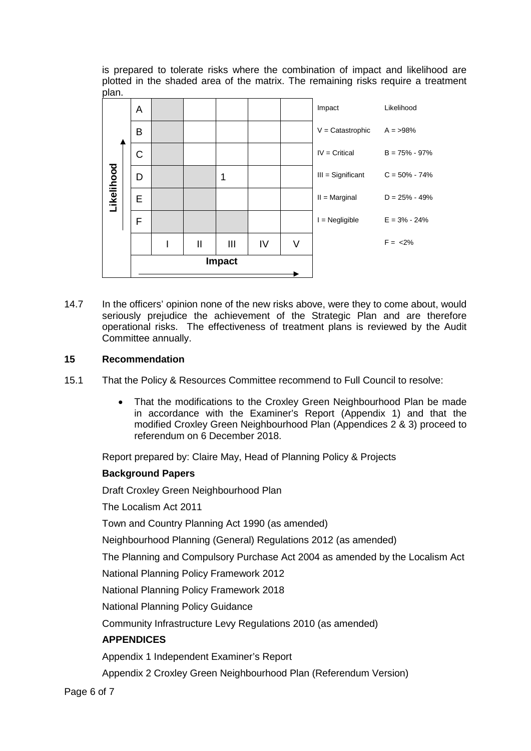is prepared to tolerate risks where the combination of impact and likelihood are plotted in the shaded area of the matrix. The remaining risks require a treatment plan.



14.7 In the officers' opinion none of the new risks above, were they to come about, would seriously prejudice the achievement of the Strategic Plan and are therefore operational risks. The effectiveness of treatment plans is reviewed by the Audit Committee annually.

## **15 Recommendation**

- 15.1 That the Policy & Resources Committee recommend to Full Council to resolve:
	- That the modifications to the Croxley Green Neighbourhood Plan be made in accordance with the Examiner's Report (Appendix 1) and that the modified Croxley Green Neighbourhood Plan (Appendices 2 & 3) proceed to referendum on 6 December 2018.

Report prepared by: Claire May, Head of Planning Policy & Projects

## **Background Papers**

Draft Croxley Green Neighbourhood Plan

The Localism Act 2011

Town and Country Planning Act 1990 (as amended)

Neighbourhood Planning (General) Regulations 2012 (as amended)

The Planning and Compulsory Purchase Act 2004 as amended by the Localism Act

National Planning Policy Framework 2012

National Planning Policy Framework 2018

National Planning Policy Guidance

Community Infrastructure Levy Regulations 2010 (as amended)

## **APPENDICES**

Appendix 1 Independent Examiner's Report

Appendix 2 Croxley Green Neighbourhood Plan (Referendum Version)